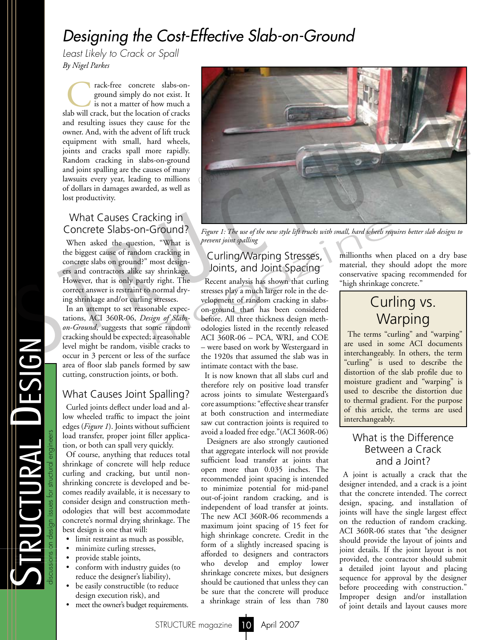# *Designing the Cost-Effective Slab-on-Ground*

*Least Likely to Crack or Spall By Nigel Parkes*

rack-free concrete slabs-on-<br>ground simply do not exist. It<br>is not a matter of how much a<br>slab will crack, but the location of cracks ground simply do not exist. It is not a matter of how much a and resulting issues they cause for the owner. And, with the advent of lift truck equipment with small, hard wheels, joints and cracks spall more rapidly. Random cracking in slabs-on-ground and joint spalling are the causes of many lawsuits every year, leading to millions of dollars in damages awarded, as well as lost productivity.

### What Causes Cracking in Concrete Slabs-on-Ground?

When asked the question, "What is the biggest cause of random cracking in concrete slabs on ground?" most designers and contractors alike say shrinkage. However, that is only partly right. The correct answer is restraint to normal drying shrinkage and/or curling stresses.

In an attempt to set reasonable expectations, ACI 360R-06, *Design of Slabson-Ground*, suggests that some random cracking should be expected; a reasonable level might be random, visible cracks to occur in 3 percent or less of the surface area of floor slab panels formed by saw cutting, construction joints, or both.

### What Causes Joint Spalling?

Curled joints deflect under load and allow wheeled traffic to impact the joint edges (*Figure 1*). Joints without sufficient load transfer, proper joint filler application, or both can spall very quickly.

Of course, anything that reduces total shrinkage of concrete will help reduce curling and cracking, but until nonshrinking concrete is developed and becomes readily available, it is necessary to consider design and construction methodologies that will best accommodate concrete's normal drying shrinkage. The best design is one that will:

- limit restraint as much as possible,
- minimize curling stresses,
- provide stable joints,
- conform with industry guides (to reduce the designer's liability),
- be easily constructible (to reduce design execution risk), and
- meet the owner's budget requirements.



*Figure 1: The use of the new style lift trucks with small, hard wheels requires better slab designs to prevent joint spalling*

### Curling/Warping Stresses, Joints, and Joint Spacing

Recent analysis has shown that curling stresses play a much larger role in the development of random cracking in slabson-ground than has been considered before. All three thickness design methodologies listed in the recently released ACI 360R-06 – PCA, WRI, and COE – were based on work by Westergaard in the 1920s that assumed the slab was in intimate contact with the base. Example 1: The use of the new style lift trucks with small, hard wheels require the intervalse of the new style lift trucks with small, hard wheels required to the true of the new style lift trucks with small, hard wheels

> It is now known that all slabs curl and therefore rely on positive load transfer across joints to simulate Westergaard's core assumptions: "effective shear transfer at both construction and intermediate saw cut contraction joints is required to avoid a loaded free edge."(ACI 360R-06)

> Designers are also strongly cautioned that aggregate interlock will not provide sufficient load transfer at joints that open more than 0.035 inches. The recommended joint spacing is intended to minimize potential for mid-panel out-of-joint random cracking, and is independent of load transfer at joints. The new ACI 360R-06 recommends a maximum joint spacing of 15 feet for high shrinkage concrete. Credit in the form of a slightly increased spacing is afforded to designers and contractors who develop and employ lower shrinkage concrete mixes, but designers should be cautioned that unless they can be sure that the concrete will produce a shrinkage strain of less than 780

millionths when placed on a dry base material, they should adopt the more conservative spacing recommended for "high shrinkage concrete."

## Curling vs. **Warping**

The terms "curling" and "warping" are used in some ACI documents interchangeably. In others, the term "curling" is used to describe the distortion of the slab profile due to moisture gradient and "warping" is used to describe the distortion due to thermal gradient. For the purpose of this article, the terms are used interchangeably.

### What is the Difference Between a Crack and a Joint?

A joint is actually a crack that the designer intended, and a crack is a joint that the concrete intended. The correct design, spacing, and installation of joints will have the single largest effect on the reduction of random cracking. ACI 360R-06 states that "the designer should provide the layout of joints and joint details. If the joint layout is not provided, the contractor should submit a detailed joint layout and placing sequence for approval by the designer before proceeding with construction." Improper design and/or installation of joint details and layout causes more

 $\boldsymbol{\mathcal{U}}$ 

tructural D

e

sign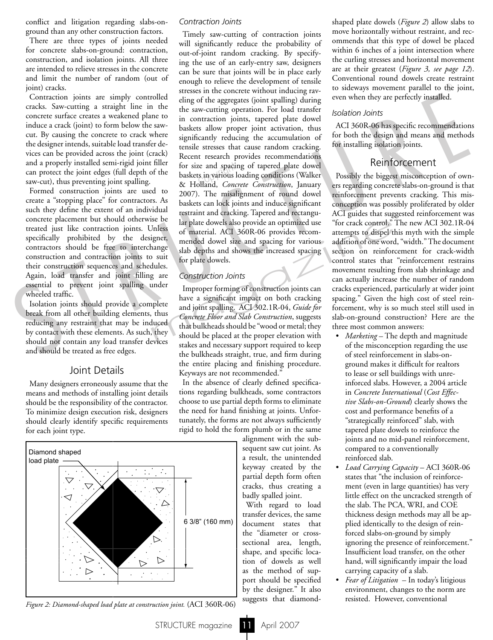conflict and litigation regarding slabs-onground than any other construction factors.

There are three types of joints needed for concrete slabs-on-ground: contraction, construction, and isolation joints. All three are intended to relieve stresses in the concrete and limit the number of random (out of joint) cracks.

Contraction joints are simply controlled cracks. Saw-cutting a straight line in the concrete surface creates a weakened plane to induce a crack (joint) to form below the sawcut. By causing the concrete to crack where the designer intends, suitable load transfer devices can be provided across the joint (crack) and a properly installed semi-rigid joint filler can protect the joint edges (full depth of the saw-cut), thus preventing joint spalling.

Formed construction joints are used to create a "stopping place" for contractors. As such they define the extent of an individual concrete placement but should otherwise be treated just like contraction joints. Unless specifically prohibited by the designer, contractors should be free to interchange construction and contraction joints to suit their construction sequences and schedules. Again, load transfer and joint filling are essential to prevent joint spalling under wheeled traffic.

Isolation joints should provide a complete break from all other building elements, thus reducing any restraint that may be induced by contact with these elements. As such, they should not contain any load transfer devices and should be treated as free edges.

### Joint Details

Many designers erroneously assume that the means and methods of installing joint details should be the responsibility of the contractor. To minimize design execution risk, designers should clearly identify specific requirements for each joint type.



*Figure 2: Diamond-shaped load plate at construction joint.* (ACI 360R-06)

#### *Contraction Joints*

Timely saw-cutting of contraction joints will significantly reduce the probability of out-of-joint random cracking. By specifying the use of an early-entry saw, designers can be sure that joints will be in place early enough to relieve the development of tensile stresses in the concrete without inducing raveling of the aggregates (joint spalling) during the saw-cutting operation. For load transfer in contraction joints, tapered plate dowel baskets allow proper joint activation, thus significantly reducing the accumulation of tensile stresses that cause random cracking. Recent research provides recommendations for size and spacing of tapered plate dowel<br>baskets in various loading conditions (Walker<br>& Holland *Concrete Construction*, January baskets in various loading conditions (Walker & Holland, *Concrete Construction*, January 2007). The misalignment of round dowel baskets can lock joints and induce significant restraint and cracking. Tapered and rectangular plate dowels also provide an optimized use of material. ACI 360R-06 provides recommended dowel size and spacing for various slab depths and shows the increased spacing for plate dowels. ion) crack. Saw-cuting a strength control strength complete the same to point a cross the control strength in the control of the control of the control of the control of the control of the control of the control of the c

#### *Construction Joints*

Improper forming of construction joints can have a significant impact on both cracking and joint spalling. ACI 302.1R-04, *Guide for Concrete Floor and Slab Construction*, suggests that bulkheads should be "wood or metal; they should be placed at the proper elevation with stakes and necessary support required to keep the bulkheads straight, true, and firm during the entire placing and finishing procedure. Keyways are not recommended." Solution of material. ACI 360R-06 provides recom-<br>
Jnless<br>
of material. ACI 360R-06 provides recom-<br>
igner,<br>
igner,<br>
anded dowel size and spacing for various<br>
suites.<br>
suites for plate dowels.<br>
thus contruction Joints<br>
gar

> In the absence of clearly defined specifications regarding bulkheads, some contractors choose to use partial depth forms to eliminate the need for hand finishing at joints. Unfortunately, the forms are not always sufficiently rigid to hold the form plumb or in the same

alignment with the subsequent saw cut joint. As a result, the unintended keyway created by the partial depth form often cracks, thus creating a badly spalled joint.

With regard to load transfer devices, the same document states that the "diameter or crosssectional area, length, shape, and specific location of dowels as well as the method of support should be specified by the designer." It also suggests that diamondshaped plate dowels (*Figure 2*) allow slabs to move horizontally without restraint, and recommends that this type of dowel be placed within 6 inches of a joint intersection where the curling stresses and horizontal movement are at their greatest (*Figure 3, see page 12*). Conventional round dowels create restraint to sideways movement parallel to the joint, even when they are perfectly installed.

#### *Isolation Joints*

ACI 360R-06 has specific recommendations for both the design and means and methods for installing isolation joints.

#### Reinforcement

Possibly the biggest misconception of owners regarding concrete slabs-on-ground is that reinforcement prevents cracking. This misconception was possibly proliferated by older ACI guides that suggested reinforcement was "for crack control." The new ACI 302.1R-04 attempts to dispel this myth with the simple addition of one word, "width." The document section on reinforcement for crack-width control states that "reinforcement restrains movement resulting from slab shrinkage and can actually increase the number of random cracks experienced, particularly at wider joint spacing." Given the high cost of steel reinforcement, why is so much steel still used in slab-on-ground construction? Here are the three most common answers:

- *Marketing* The depth and magnitude of the misconception regarding the use of steel reinforcement in slabs-on ground makes it difficult for realtors to lease or sell buildings with unre inforced slabs. However, a 2004 article in *Concrete International* (*Cost Effec tive Slabs-on-Ground*) clearly shows the cost and performance benefits of a "strategically reinforced" slab, with tapered plate dowels to reinforce the joints and no mid-panel reinforcement, compared to a conventionally reinforced slab.
- *Load Carrying Capacity* ACI 360R-06 states that "the inclusion of reinforce ment (even in large quantities) has very little effect on the uncracked strength of the slab. The PCA, WRI, and COE thickness design methods may all be ap plied identically to the design of rein forced slabs-on-ground by simply ignoring the presence of reinforcement." Insufficient load transfer, on the other hand, will significantly impair the load carrying capacity of a slab.
- *Fear of Litigation* In today's litigious environment, changes to the norm are resisted. However, conventional